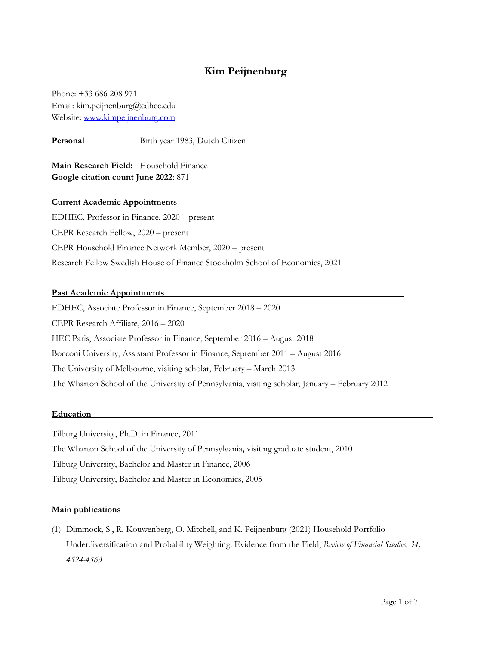# **Kim Peijnenburg**

Phone: +33 686 208 971 Email: kim.peijnenburg@edhec.edu Website: www.kimpeijnenburg.com

Personal **Birth year 1983**, Dutch Citizen

**Main Research Field:** Household Finance **Google citation count June 2022**: 871

# **Current Academic Appointments**

EDHEC, Professor in Finance, 2020 – present CEPR Research Fellow, 2020 – present CEPR Household Finance Network Member, 2020 – present Research Fellow Swedish House of Finance Stockholm School of Economics, 2021

# **Past Academic Appointments**

EDHEC, Associate Professor in Finance, September 2018 – 2020 CEPR Research Affiliate, 2016 – 2020 HEC Paris, Associate Professor in Finance, September 2016 – August 2018 Bocconi University, Assistant Professor in Finance, September 2011 – August 2016 The University of Melbourne, visiting scholar, February – March 2013 The Wharton School of the University of Pennsylvania, visiting scholar, January – February 2012

### **Education**

Tilburg University, Ph.D. in Finance, 2011 The Wharton School of the University of Pennsylvania**,** visiting graduate student, 2010 Tilburg University, Bachelor and Master in Finance, 2006

Tilburg University, Bachelor and Master in Economics, 2005

### **Main publications**

(1) Dimmock, S., R. Kouwenberg, O. Mitchell, and K. Peijnenburg (2021) Household Portfolio Underdiversification and Probability Weighting: Evidence from the Field, *Review of Financial Studies, 34, 4524-4563.*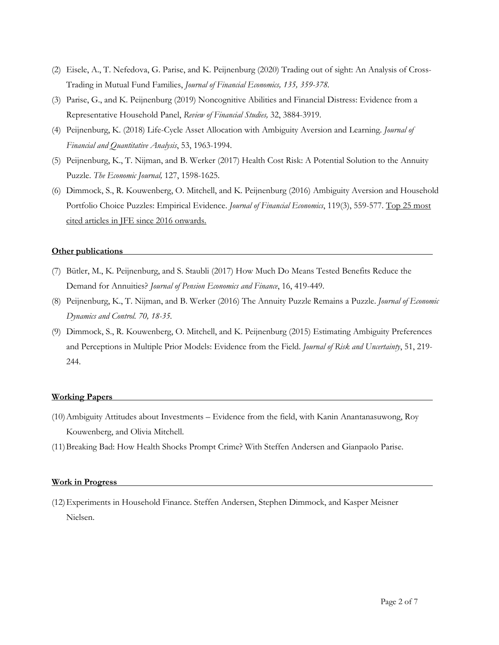- (2) Eisele, A., T. Nefedova, G. Parise, and K. Peijnenburg (2020) Trading out of sight: An Analysis of Cross-Trading in Mutual Fund Families, *Journal of Financial Economics, 135, 359-378.*
- (3) Parise, G., and K. Peijnenburg (2019) Noncognitive Abilities and Financial Distress: Evidence from a Representative Household Panel, *Review of Financial Studies,* 32, 3884-3919.
- (4) Peijnenburg, K. (2018) Life-Cycle Asset Allocation with Ambiguity Aversion and Learning. *Journal of Financial and Quantitative Analysis*, 53, 1963-1994.
- (5) Peijnenburg, K., T. Nijman, and B. Werker (2017) Health Cost Risk: A Potential Solution to the Annuity Puzzle. *The Economic Journal,* 127, 1598-1625.
- (6) Dimmock, S., R. Kouwenberg, O. Mitchell, and K. Peijnenburg (2016) Ambiguity Aversion and Household Portfolio Choice Puzzles: Empirical Evidence. *Journal of Financial Economics*, 119(3), 559-577. Top 25 most cited articles in JFE since 2016 onwards.

### **Other publications**

- (7) Bütler, M., K. Peijnenburg, and S. Staubli (2017) How Much Do Means Tested Benefits Reduce the Demand for Annuities? *Journal of Pension Economics and Finance*, 16, 419-449.
- (8) Peijnenburg, K., T. Nijman, and B. Werker (2016) The Annuity Puzzle Remains a Puzzle. *Journal of Economic Dynamics and Control. 70, 18-35.*
- (9) Dimmock, S., R. Kouwenberg, O. Mitchell, and K. Peijnenburg (2015) Estimating Ambiguity Preferences and Perceptions in Multiple Prior Models: Evidence from the Field. *Journal of Risk and Uncertainty*, 51, 219- 244.

#### **Working Papers**

- (10)Ambiguity Attitudes about Investments Evidence from the field, with Kanin Anantanasuwong, Roy Kouwenberg, and Olivia Mitchell.
- (11)Breaking Bad: How Health Shocks Prompt Crime? With Steffen Andersen and Gianpaolo Parise.

#### **Work in Progress**

(12)Experiments in Household Finance. Steffen Andersen, Stephen Dimmock, and Kasper Meisner Nielsen.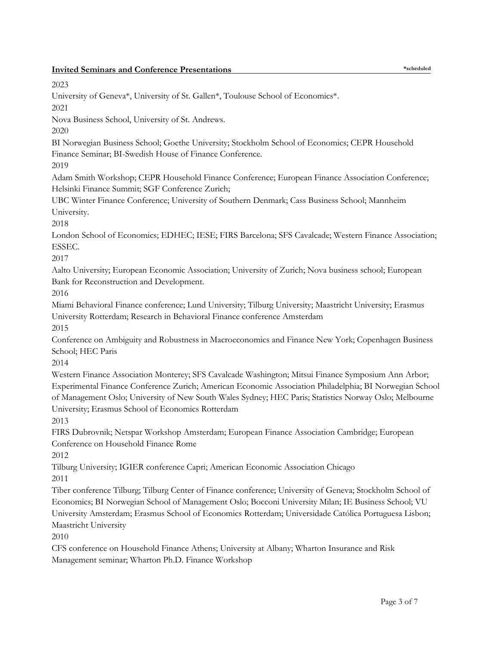| <b>Invited Seminars and Conference Presentations</b>                                                                                                                                                                                                                                                                                                                                  | *scheduled |
|---------------------------------------------------------------------------------------------------------------------------------------------------------------------------------------------------------------------------------------------------------------------------------------------------------------------------------------------------------------------------------------|------------|
| 2023                                                                                                                                                                                                                                                                                                                                                                                  |            |
| University of Geneva*, University of St. Gallen*, Toulouse School of Economics*.<br>2021                                                                                                                                                                                                                                                                                              |            |
| Nova Business School, University of St. Andrews.<br>2020                                                                                                                                                                                                                                                                                                                              |            |
| BI Norwegian Business School; Goethe University; Stockholm School of Economics; CEPR Household<br>Finance Seminar; BI-Swedish House of Finance Conference.<br>2019                                                                                                                                                                                                                    |            |
| Adam Smith Workshop; CEPR Household Finance Conference; European Finance Association Conference;<br>Helsinki Finance Summit; SGF Conference Zurich;                                                                                                                                                                                                                                   |            |
| UBC Winter Finance Conference; University of Southern Denmark; Cass Business School; Mannheim<br>University.<br>2018                                                                                                                                                                                                                                                                  |            |
| London School of Economics; EDHEC; IESE; FIRS Barcelona; SFS Cavalcade; Western Finance Association;<br>ESSEC.<br>2017                                                                                                                                                                                                                                                                |            |
| Aalto University; European Economic Association; University of Zurich; Nova business school; European<br>Bank for Reconstruction and Development.<br>2016                                                                                                                                                                                                                             |            |
| Miami Behavioral Finance conference; Lund University; Tilburg University; Maastricht University; Erasmus<br>University Rotterdam; Research in Behavioral Finance conference Amsterdam<br>2015                                                                                                                                                                                         |            |
| Conference on Ambiguity and Robustness in Macroeconomics and Finance New York; Copenhagen Business<br>School; HEC Paris<br>2014                                                                                                                                                                                                                                                       |            |
| Western Finance Association Monterey; SFS Cavalcade Washington; Mitsui Finance Symposium Ann Arbor;<br>Experimental Finance Conference Zurich; American Economic Association Philadelphia; BI Norwegian School<br>of Management Oslo; University of New South Wales Sydney; HEC Paris; Statistics Norway Oslo; Melbourne<br>University; Erasmus School of Economics Rotterdam<br>2013 |            |
| FIRS Dubrovnik; Netspar Workshop Amsterdam; European Finance Association Cambridge; European<br>Conference on Household Finance Rome<br>2012                                                                                                                                                                                                                                          |            |
| Tilburg University; IGIER conference Capri; American Economic Association Chicago<br>2011                                                                                                                                                                                                                                                                                             |            |
| Tiber conference Tilburg; Tilburg Center of Finance conference; University of Geneva; Stockholm School of<br>Economics; BI Norwegian School of Management Oslo; Bocconi University Milan; IE Business School; VU<br>University Amsterdam; Erasmus School of Economics Rotterdam; Universidade Católica Portuguesa Lisbon;<br>Maastricht University<br>2010                            |            |
| CFS conference on Household Finance Athens; University at Albany; Wharton Insurance and Risk<br>Management seminar; Wharton Ph.D. Finance Workshop                                                                                                                                                                                                                                    |            |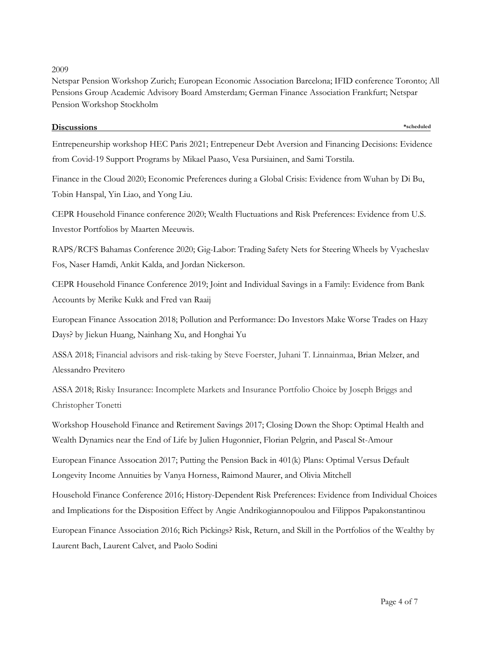# 2009

Netspar Pension Workshop Zurich; European Economic Association Barcelona; IFID conference Toronto; All Pensions Group Academic Advisory Board Amsterdam; German Finance Association Frankfurt; Netspar Pension Workshop Stockholm

# **Discussions \*scheduled**

Entrepeneurship workshop HEC Paris 2021; Entrepeneur Debt Aversion and Financing Decisions: Evidence from Covid-19 Support Programs by Mikael Paaso, Vesa Pursiainen, and Sami Torstila.

Finance in the Cloud 2020; Economic Preferences during a Global Crisis: Evidence from Wuhan by Di Bu, Tobin Hanspal, Yin Liao, and Yong Liu.

CEPR Household Finance conference 2020; Wealth Fluctuations and Risk Preferences: Evidence from U.S. Investor Portfolios by Maarten Meeuwis.

RAPS/RCFS Bahamas Conference 2020; Gig-Labor: Trading Safety Nets for Steering Wheels by Vyacheslav Fos, Naser Hamdi, Ankit Kalda, and Jordan Nickerson.

CEPR Household Finance Conference 2019; Joint and Individual Savings in a Family: Evidence from Bank Accounts by Merike Kukk and Fred van Raaij

European Finance Assocation 2018; Pollution and Performance: Do Investors Make Worse Trades on Hazy Days? by Jiekun Huang, Nainhang Xu, and Honghai Yu

ASSA 2018; Financial advisors and risk-taking by Steve Foerster, Juhani T. Linnainmaa, Brian Melzer, and Alessandro Previtero

ASSA 2018; Risky Insurance: Incomplete Markets and Insurance Portfolio Choice by Joseph Briggs and Christopher Tonetti

Workshop Household Finance and Retirement Savings 2017; Closing Down the Shop: Optimal Health and Wealth Dynamics near the End of Life by Julien Hugonnier, Florian Pelgrin, and Pascal St-Amour

European Finance Assocation 2017; Putting the Pension Back in 401(k) Plans: Optimal Versus Default Longevity Income Annuities by Vanya Horness, Raimond Maurer, and Olivia Mitchell

Household Finance Conference 2016; History-Dependent Risk Preferences: Evidence from Individual Choices and Implications for the Disposition Effect by Angie Andrikogiannopoulou and Filippos Papakonstantinou

European Finance Association 2016; Rich Pickings? Risk, Return, and Skill in the Portfolios of the Wealthy by Laurent Bach, Laurent Calvet, and Paolo Sodini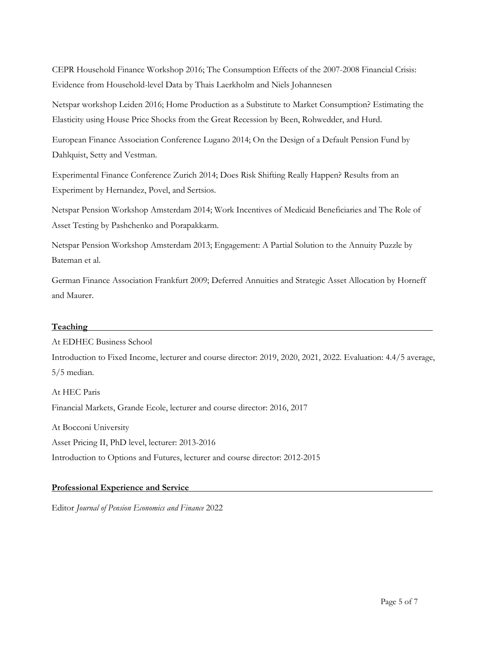CEPR Household Finance Workshop 2016; The Consumption Effects of the 2007-2008 Financial Crisis: Evidence from Household-level Data by Thais Laerkholm and Niels Johannesen

Netspar workshop Leiden 2016; Home Production as a Substitute to Market Consumption? Estimating the Elasticity using House Price Shocks from the Great Recession by Been, Rohwedder, and Hurd.

European Finance Association Conference Lugano 2014; On the Design of a Default Pension Fund by Dahlquist, Setty and Vestman.

Experimental Finance Conference Zurich 2014; Does Risk Shifting Really Happen? Results from an Experiment by Hernandez, Povel, and Sertsios.

Netspar Pension Workshop Amsterdam 2014; Work Incentives of Medicaid Beneficiaries and The Role of Asset Testing by Pashchenko and Porapakkarm.

Netspar Pension Workshop Amsterdam 2013; Engagement: A Partial Solution to the Annuity Puzzle by Bateman et al.

German Finance Association Frankfurt 2009; Deferred Annuities and Strategic Asset Allocation by Horneff and Maurer.

## **Teaching**

At EDHEC Business School

Introduction to Fixed Income, lecturer and course director: 2019, 2020, 2021, 2022. Evaluation: 4.4/5 average, 5/5 median.

At HEC Paris Financial Markets, Grande Ecole, lecturer and course director: 2016, 2017 At Bocconi University Asset Pricing II, PhD level, lecturer: 2013-2016 Introduction to Options and Futures, lecturer and course director: 2012-2015

## **Professional Experience and Service**

Editor *Journal of Pension Economics and Finance* 2022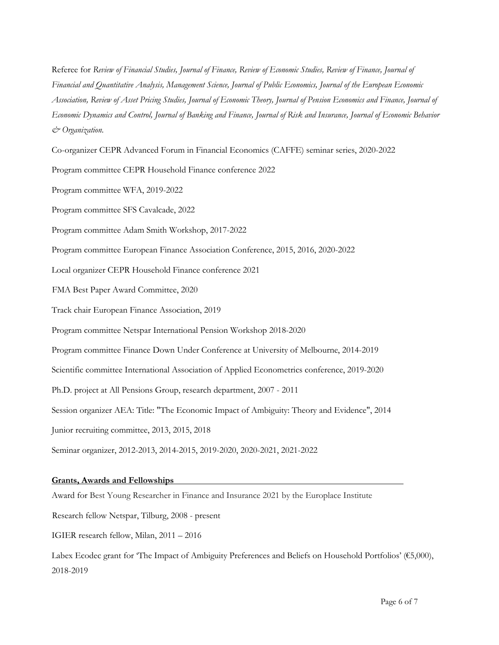Referee for *Review of Financial Studies, Journal of Finance, Review of Economic Studies, Review of Finance, Journal of Financial and Quantitative Analysis, Management Science, Journal of Public Economics, Journal of the European Economic Association, Review of Asset Pricing Studies, Journal of Economic Theory, Journal of Pension Economics and Finance, Journal of Economic Dynamics and Control, Journal of Banking and Finance, Journal of Risk and Insurance, Journal of Economic Behavior & Organization.*

Co-organizer CEPR Advanced Forum in Financial Economics (CAFFE) seminar series, 2020-2022

Program committee CEPR Household Finance conference 2022

Program committee WFA, 2019-2022

Program committee SFS Cavalcade, 2022

Program committee Adam Smith Workshop, 2017-2022

Program committee European Finance Association Conference, 2015, 2016, 2020-2022

Local organizer CEPR Household Finance conference 2021

FMA Best Paper Award Committee, 2020

Track chair European Finance Association, 2019

Program committee Netspar International Pension Workshop 2018-2020

Program committee Finance Down Under Conference at University of Melbourne, 2014-2019

Scientific committee International Association of Applied Econometrics conference, 2019-2020

Ph.D. project at All Pensions Group, research department, 2007 - 2011

Session organizer AEA: Title: "The Economic Impact of Ambiguity: Theory and Evidence", 2014

Junior recruiting committee, 2013, 2015, 2018

Seminar organizer, 2012-2013, 2014-2015, 2019-2020, 2020-2021, 2021-2022

### **Grants, Awards and Fellowships**

Award for Best Young Researcher in Finance and Insurance 2021 by the Europlace Institute

Research fellow Netspar, Tilburg, 2008 - present

IGIER research fellow, Milan, 2011 – 2016

Labex Ecodec grant for 'The Impact of Ambiguity Preferences and Beliefs on Household Portfolios' (€5,000), 2018-2019